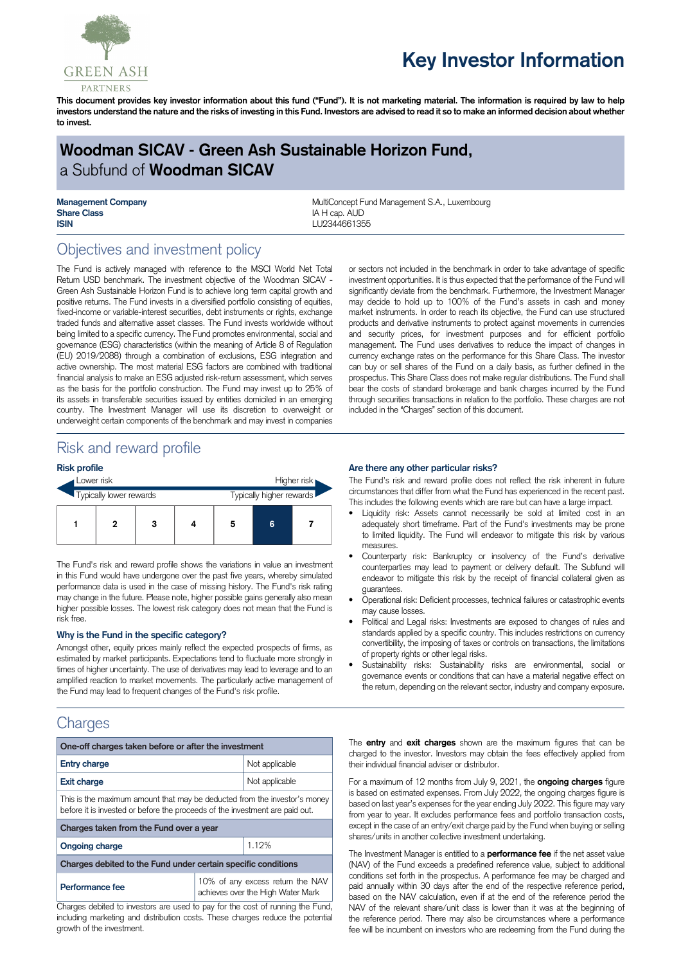

# **Key Investor Information**

This document provides key investor information about this fund ("Fund"). It is not marketing material. The information is required by law to help investors understand the nature and the risks of investing in this Fund. Investors are advised to read it so to make an informed decision about whether **to invest.**

# **Woodman SICAV - Green Ash Sustainable Horizon Fund,** a Subfund of **Woodman SICAV**

**Share Class IA H** cap. AUD **ISIN** LU2344661355

**Management Company MultiConcept Fund Management S.A., Luxembourg MultiConcept Fund Management S.A., Luxembourg** 

# Objectives and investment policy

The Fund is actively managed with reference to the MSCI World Net Total Return USD benchmark. The investment objective of the Woodman SICAV - Green Ash Sustainable Horizon Fund is to achieve long term capital growth and positive returns. The Fund invests in a diversified portfolio consisting of equities, fixed-income or variable-interest securities, debt instruments or rights, exchange traded funds and alternative asset classes. The Fund invests worldwide without being limited to a specific currency. The Fund promotes environmental, social and governance (ESG) characteristics (within the meaning of Article 8 of Regulation (EU) 2019/2088) through a combination of exclusions, ESG integration and active ownership. The most material ESG factors are combined with traditional financial analysis to make an ESG adjusted risk-return assessment, which serves as the basis for the portfolio construction. The Fund may invest up to 25% of its assets in transferable securities issued by entities domiciled in an emerging country. The Investment Manager will use its discretion to overweight or underweight certain components of the benchmark and may invest in companies

or sectors not included in the benchmark in order to take advantage of specific investment opportunities. It is thus expected that the performance of the Fund will significantly deviate from the benchmark. Furthermore, the Investment Manager may decide to hold up to 100% of the Fund's assets in cash and money market instruments. In order to reach its objective, the Fund can use structured products and derivative instruments to protect against movements in currencies and security prices, for investment purposes and for efficient portfolio management. The Fund uses derivatives to reduce the impact of changes in currency exchange rates on the performance for this Share Class. The investor can buy or sell shares of the Fund on a daily basis, as further defined in the prospectus. This Share Class does not make regular distributions. The Fund shall bear the costs of standard brokerage and bank charges incurred by the Fund through securities transactions in relation to the portfolio. These charges are not included in the "Charges" section of this document.

# Risk and reward profile

#### **Risk profile**

| Lower risk              |   |   | Higher risk |                          |   |  |  |
|-------------------------|---|---|-------------|--------------------------|---|--|--|
| Typically lower rewards |   |   |             | Typically higher rewards |   |  |  |
|                         | 2 | 3 |             | 5                        | 6 |  |  |

The Fund's risk and reward profile shows the variations in value an investment in this Fund would have undergone over the past five years, whereby simulated performance data is used in the case of missing history. The Fund's risk rating may change in the future. Please note, higher possible gains generally also mean higher possible losses. The lowest risk category does not mean that the Fund is risk free.

#### **Why is the Fund in the specific category?**

Amongst other, equity prices mainly reflect the expected prospects of firms, as estimated by market participants. Expectations tend to fluctuate more strongly in times of higher uncertainty. The use of derivatives may lead to leverage and to an amplified reaction to market movements. The particularly active management of the Fund may lead to frequent changes of the Fund's risk profile.

### **Charges**

| One-off charges taken before or after the investment                                                                                                      |                                                                       |  |  |  |  |
|-----------------------------------------------------------------------------------------------------------------------------------------------------------|-----------------------------------------------------------------------|--|--|--|--|
| <b>Entry charge</b>                                                                                                                                       | Not applicable                                                        |  |  |  |  |
| <b>Exit charge</b>                                                                                                                                        | Not applicable                                                        |  |  |  |  |
| This is the maximum amount that may be deducted from the investor's money<br>before it is invested or before the proceeds of the investment are paid out. |                                                                       |  |  |  |  |
| Charges taken from the Fund over a year                                                                                                                   |                                                                       |  |  |  |  |
| <b>Ongoing charge</b>                                                                                                                                     | 1.12%                                                                 |  |  |  |  |
| Charges debited to the Fund under certain specific conditions                                                                                             |                                                                       |  |  |  |  |
| Performance fee                                                                                                                                           | 10% of any excess return the NAV<br>achieves over the High Water Mark |  |  |  |  |

Charges debited to investors are used to pay for the cost of running the Fund, including marketing and distribution costs. These charges reduce the potential growth of the investment.

#### **Are there any other particular risks?**

The Fund's risk and reward profile does not reflect the risk inherent in future circumstances that differ from what the Fund has experienced in the recent past. This includes the following events which are rare but can have a large impact.

- Liquidity risk: Assets cannot necessarily be sold at limited cost in an adequately short timeframe. Part of the Fund's investments may be prone to limited liquidity. The Fund will endeavor to mitigate this risk by various measures.
- Counterparty risk: Bankruptcy or insolvency of the Fund's derivative counterparties may lead to payment or delivery default. The Subfund will endeavor to mitigate this risk by the receipt of financial collateral given as guarantees.
- Operational risk: Deficient processes, technical failures or catastrophic events may cause losses.
- Political and Legal risks: Investments are exposed to changes of rules and standards applied by a specific country. This includes restrictions on currency convertibility, the imposing of taxes or controls on transactions, the limitations of property rights or other legal risks.
- Sustainability risks: Sustainability risks are environmental, social or governance events or conditions that can have a material negative effect on the return, depending on the relevant sector, industry and company exposure.

The **entry** and **exit charges** shown are the maximum figures that can be charged to the investor. Investors may obtain the fees effectively applied from their individual financial adviser or distributor.

For a maximum of 12 months from July 9, 2021, the **ongoing charges** figure is based on estimated expenses. From July 2022, the ongoing charges figure is based on last year's expenses for the year ending July 2022. This figure may vary from year to year. It excludes performance fees and portfolio transaction costs, except in the case of an entry/exit charge paid by the Fund when buying or selling shares/units in another collective investment undertaking.

The Investment Manager is entitled to a **performance fee** if the net asset value (NAV) of the Fund exceeds a predefined reference value, subject to additional conditions set forth in the prospectus. A performance fee may be charged and paid annually within 30 days after the end of the respective reference period, based on the NAV calculation, even if at the end of the reference period the NAV of the relevant share/unit class is lower than it was at the beginning of the reference period. There may also be circumstances where a performance fee will be incumbent on investors who are redeeming from the Fund during the